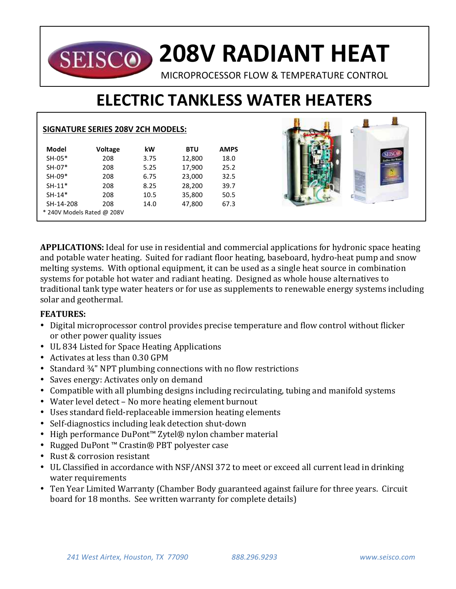## **208V RADIANT HEAT SEISCO**

MICROPROCESSOR FLOW & TEMPERATURE CONTROL

 $\overline{a}$ 

# **ELECTRIC TANKLESS WATER HEATERS**

|                            | <b>SIGNATURE SERIES 208V 2CH MODELS:</b> |      |            |             |  |  |
|----------------------------|------------------------------------------|------|------------|-------------|--|--|
| Model                      | Voltage                                  | kW   | <b>BTU</b> | <b>AMPS</b> |  |  |
| SH-05*                     | 208                                      | 3.75 | 12,800     | 18.0        |  |  |
| $SH-07*$                   | 208                                      | 5.25 | 17,900     | 25.2        |  |  |
| $SH-09*$                   | 208                                      | 6.75 | 23,000     | 32.5        |  |  |
| $SH-11*$                   | 208                                      | 8.25 | 28,200     | 39.7        |  |  |
| $SH-14*$                   | 208                                      | 10.5 | 35,800     | 50.5        |  |  |
| SH-14-208                  | 208                                      | 14.0 | 47,800     | 67.3        |  |  |
| * 240V Models Rated @ 208V |                                          |      |            |             |  |  |

**APPLICATIONS:** Ideal for use in residential and commercial applications for hydronic space heating and potable water heating. Suited for radiant floor heating, baseboard, hydro-heat pump and snow melting systems. With optional equipment, it can be used as a single heat source in combination systems for potable hot water and radiant heating. Designed as whole house alternatives to traditional tank type water heaters or for use as supplements to renewable energy systems including solar and geothermal.

### **FEATURES:**

- Digital microprocessor control provides precise temperature and flow control without flicker or other power quality issues
- UL 834 Listed for Space Heating Applications
- Activates at less than 0.30 GPM
- Standard  $\frac{3}{4}$ " NPT plumbing connections with no flow restrictions
- Saves energy: Activates only on demand
- Compatible with all plumbing designs including recirculating, tubing and manifold systems
- Water level detect No more heating element burnout
- Uses standard field-replaceable immersion heating elements
- Self-diagnostics including leak detection shut-down
- High performance DuPont™ Zytel® nylon chamber material
- Rugged DuPont™ Crastin® PBT polyester case
- Rust & corrosion resistant
- UL Classified in accordance with NSF/ANSI 372 to meet or exceed all current lead in drinking water requirements
- Ten Year Limited Warranty (Chamber Body guaranteed against failure for three years. Circuit board for 18 months. See written warranty for complete details)

盘

49